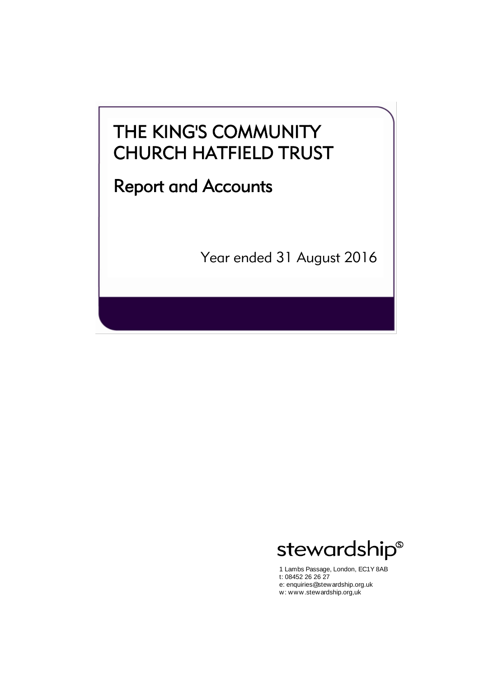# Report and Accounts

Year ended 31 August 2016



1 Lambs Passage, London, EC1Y 8AB t: 08452 26 26 27 e: enquiries@stewardship.org.uk w: www.stewardship.org,uk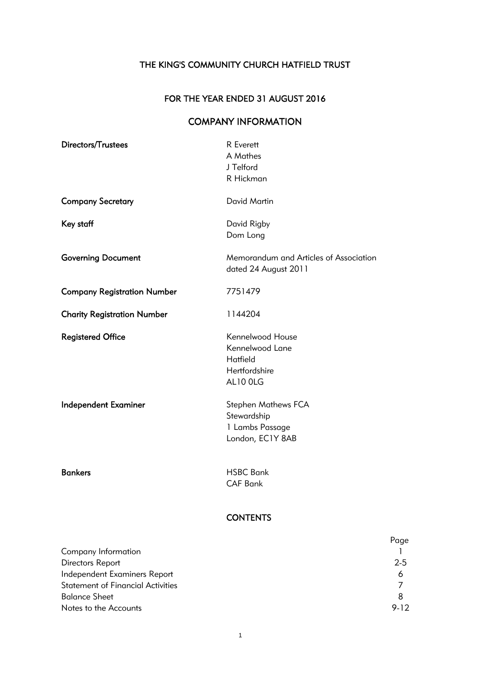# FOR THE YEAR ENDED 31 AUGUST 2016

# COMPANY INFORMATION

| Directors/Trustees                 | <b>R</b> Everett<br>A Mathes<br>J Telford<br>R Hickman                           |
|------------------------------------|----------------------------------------------------------------------------------|
| <b>Company Secretary</b>           | <b>David Martin</b>                                                              |
| Key staff                          | David Rigby<br>Dom Long                                                          |
| <b>Governing Document</b>          | Memorandum and Articles of Association<br>dated 24 August 2011                   |
| <b>Company Registration Number</b> | 7751479                                                                          |
| <b>Charity Registration Number</b> | 1144204                                                                          |
| <b>Registered Office</b>           | Kennelwood House<br>Kennelwood Lane<br>Hatfield<br>Hertfordshire<br>AL10 OLG     |
| <b>Independent Examiner</b>        | <b>Stephen Mathews FCA</b><br>Stewardship<br>1 Lambs Passage<br>London, EC1Y 8AB |
| <b>Bankers</b>                     | <b>HSBC Bank</b><br><b>CAF Bank</b>                                              |

# **CONTENTS**

|                                          | Page     |
|------------------------------------------|----------|
| Company Information                      |          |
| Directors Report                         | $2 - 5$  |
| Independent Examiners Report             | Ô        |
| <b>Statement of Financial Activities</b> |          |
| <b>Balance Sheet</b>                     | 8        |
| Notes to the Accounts                    | $9 - 12$ |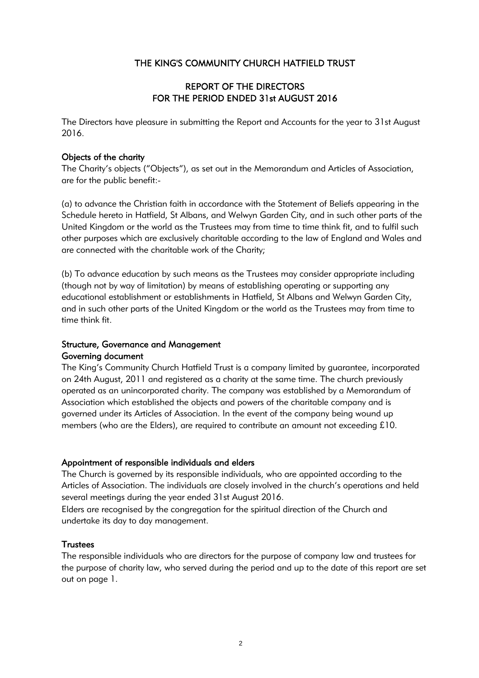# REPORT OF THE DIRECTORS FOR THE PERIOD ENDED 31st AUGUST 2016

The Directors have pleasure in submitting the Report and Accounts for the year to 31st August 2016.

### Objects of the charity

The Charity's objects ("Objects"), as set out in the Memorandum and Articles of Association, are for the public benefit:-

(a) to advance the Christian faith in accordance with the Statement of Beliefs appearing in the Schedule hereto in Hatfield, St Albans, and Welwyn Garden City, and in such other parts of the United Kingdom or the world as the Trustees may from time to time think fit, and to fulfil such other purposes which are exclusively charitable according to the law of England and Wales and are connected with the charitable work of the Charity;

(b) To advance education by such means as the Trustees may consider appropriate including (though not by way of limitation) by means of establishing operating or supporting any educational establishment or establishments in Hatfield, St Albans and Welwyn Garden City, and in such other parts of the United Kingdom or the world as the Trustees may from time to time think fit.

# Structure, Governance and Management Governing document

The King's Community Church Hatfield Trust is a company limited by guarantee, incorporated on 24th August, 2011 and registered as a charity at the same time. The church previously operated as an unincorporated charity. The company was established by a Memorandum of Association which established the objects and powers of the charitable company and is governed under its Articles of Association. In the event of the company being wound up members (who are the Elders), are required to contribute an amount not exceeding £10.

### Appointment of responsible individuals and elders

The Church is governed by its responsible individuals, who are appointed according to the Articles of Association. The individuals are closely involved in the church's operations and held several meetings during the year ended 31st August 2016.

Elders are recognised by the congregation for the spiritual direction of the Church and undertake its day to day management.

### **Trustees**

The responsible individuals who are directors for the purpose of company law and trustees for the purpose of charity law, who served during the period and up to the date of this report are set out on page 1.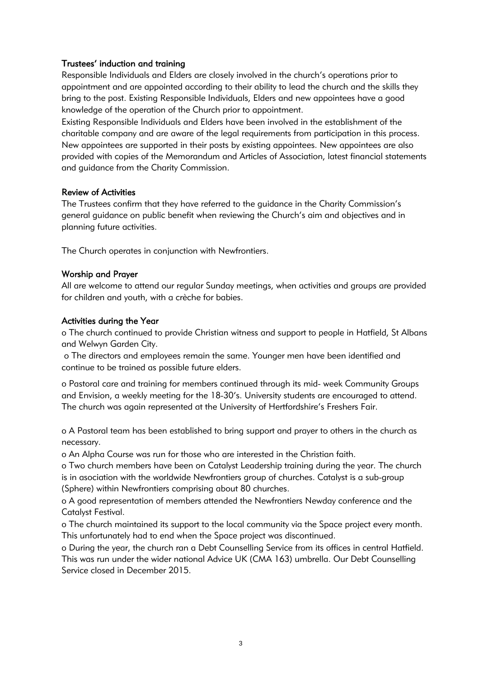# Trustees' induction and training

Responsible Individuals and Elders are closely involved in the church's operations prior to appointment and are appointed according to their ability to lead the church and the skills they bring to the post. Existing Responsible Individuals, Elders and new appointees have a good knowledge of the operation of the Church prior to appointment.

Existing Responsible Individuals and Elders have been involved in the establishment of the charitable company and are aware of the legal requirements from participation in this process. New appointees are supported in their posts by existing appointees. New appointees are also provided with copies of the Memorandum and Articles of Association, latest financial statements and guidance from the Charity Commission.

# Review of Activities

The Trustees confirm that they have referred to the guidance in the Charity Commission's general guidance on public benefit when reviewing the Church's aim and objectives and in planning future activities.

The Church operates in conjunction with Newfrontiers.

# Worship and Prayer

All are welcome to attend our regular Sunday meetings, when activities and groups are provided for children and youth, with a crèche for babies.

### Activities during the Year

o The church continued to provide Christian witness and support to people in Hatfield, St Albans and Welwyn Garden City.

 o The directors and employees remain the same. Younger men have been identified and continue to be trained as possible future elders.

o Pastoral care and training for members continued through its mid- week Community Groups and Envision, a weekly meeting for the 18-30's. University students are encouraged to attend. The church was again represented at the University of Hertfordshire's Freshers Fair.

o A Pastoral team has been established to bring support and prayer to others in the church as necessary.

o An Alpha Course was run for those who are interested in the Christian faith.

o Two church members have been on Catalyst Leadership training during the year. The church

is in asociation with the worldwide Newfrontiers group of churches. Catalyst is a sub-group (Sphere) within Newfrontiers comprising about 80 churches.

o A good representation of members attended the Newfrontiers Newday conference and the Catalyst Festival.

o The church maintained its support to the local community via the Space project every month. This unfortunately had to end when the Space project was discontinued.

o During the year, the church ran a Debt Counselling Service from its offices in central Hatfield. This was run under the wider national Advice UK (CMA 163) umbrella. Our Debt Counselling Service closed in December 2015.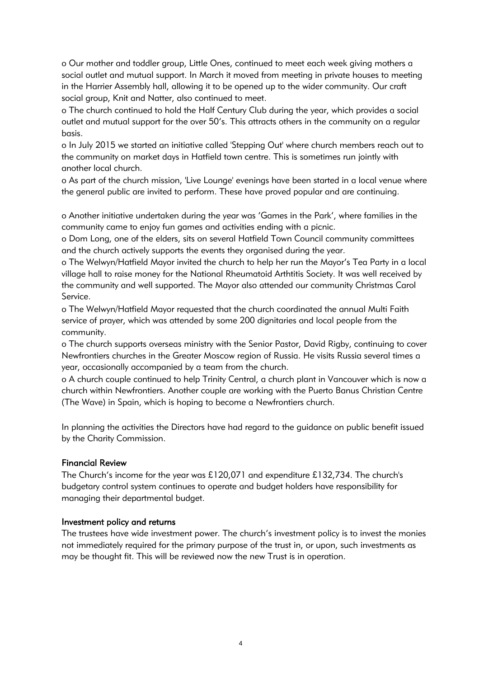o Our mother and toddler group, Little Ones, continued to meet each week giving mothers a social outlet and mutual support. In March it moved from meeting in private houses to meeting in the Harrier Assembly hall, allowing it to be opened up to the wider community. Our craft social group, Knit and Natter, also continued to meet.

o The church continued to hold the Half Century Club during the year, which provides a social outlet and mutual support for the over 50's. This attracts others in the community on a regular basis.

o In July 2015 we started an initiative called 'Stepping Out' where church members reach out to the community on market days in Hatfield town centre. This is sometimes run jointly with another local church.

o As part of the church mission, 'Live Lounge' evenings have been started in a local venue where the general public are invited to perform. These have proved popular and are continuing.

o Another initiative undertaken during the year was 'Games in the Park', where families in the community came to enjoy fun games and activities ending with a picnic.

o Dom Long, one of the elders, sits on several Hatfield Town Council community committees and the church actively supports the events they organised during the year.

o The Welwyn/Hatfield Mayor invited the church to help her run the Mayor's Tea Party in a local village hall to raise money for the National Rheumatoid Arthtitis Society. It was well received by the community and well supported. The Mayor also attended our community Christmas Carol Service.

o The Welwyn/Hatfield Mayor requested that the church coordinated the annual Multi Faith service of prayer, which was attended by some 200 dignitaries and local people from the community.

o The church supports overseas ministry with the Senior Pastor, David Rigby, continuing to cover Newfrontiers churches in the Greater Moscow region of Russia. He visits Russia several times a year, occasionally accompanied by a team from the church.

o A church couple continued to help Trinity Central, a church plant in Vancouver which is now a church within Newfrontiers. Another couple are working with the Puerto Banus Christian Centre (The Wave) in Spain, which is hoping to become a Newfrontiers church.

In planning the activities the Directors have had regard to the guidance on public benefit issued by the Charity Commission.

### Financial Review

The Church's income for the year was £120,071 and expenditure £132,734. The church's budgetary control system continues to operate and budget holders have responsibility for managing their departmental budget.

### Investment policy and returns

The trustees have wide investment power. The church's investment policy is to invest the monies not immediately required for the primary purpose of the trust in, or upon, such investments as may be thought fit. This will be reviewed now the new Trust is in operation.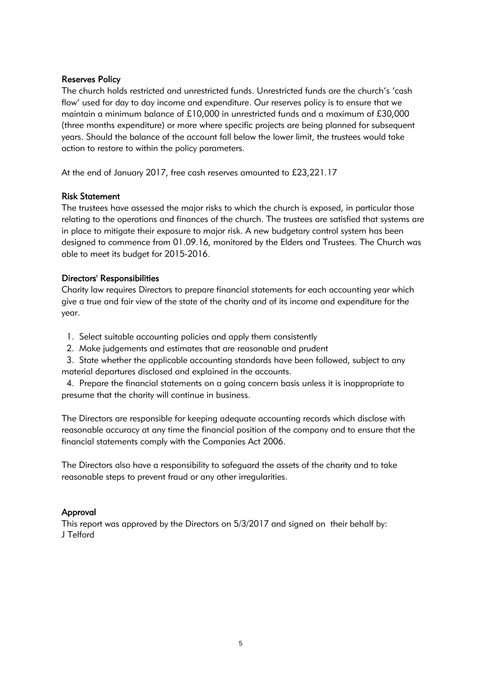### Reserves Policy

The church holds restricted and unrestricted funds. Unrestricted funds are the church's 'cash flow' used for day to day income and expenditure. Our reserves policy is to ensure that we maintain a minimum balance of £10,000 in unrestricted funds and a maximum of £30,000 (three months expenditure) or more where specific projects are being planned for subsequent years. Should the balance of the account fall below the lower limit, the trustees would take action to restore to within the policy parameters.

At the end of January 2017, free cash reserves amounted to £23,221.17

### Risk Statement

The trustees have assessed the major risks to which the church is exposed, in particular those relating to the operations and finances of the church. The trustees are satisfied that systems are in place to mitigate their exposure to major risk. A new budgetary control system has been designed to commence from 01.09.16, monitored by the Elders and Trustees. The Church was able to meet its budget for 2015-2016.

### Directors' Responsibilities

Charity law requires Directors to prepare financial statements for each accounting year which give a true and fair view of the state of the charity and of its income and expenditure for the year.

- 1. Select suitable accounting policies and apply them consistently
- 2. Make judgements and estimates that are reasonable and prudent

 3. State whether the applicable accounting standards have been followed, subject to any material departures disclosed and explained in the accounts.

 4. Prepare the financial statements on a going concern basis unless it is inappropriate to presume that the charity will continue in business.

The Directors are responsible for keeping adequate accounting records which disclose with reasonable accuracy at any time the financial position of the company and to ensure that the financial statements comply with the Companies Act 2006.

The Directors also have a responsibility to safeguard the assets of the charity and to take reasonable steps to prevent fraud or any other irregularities.

### Approval

This report was approved by the Directors on 5/3/2017 and signed on their behalf by: J Telford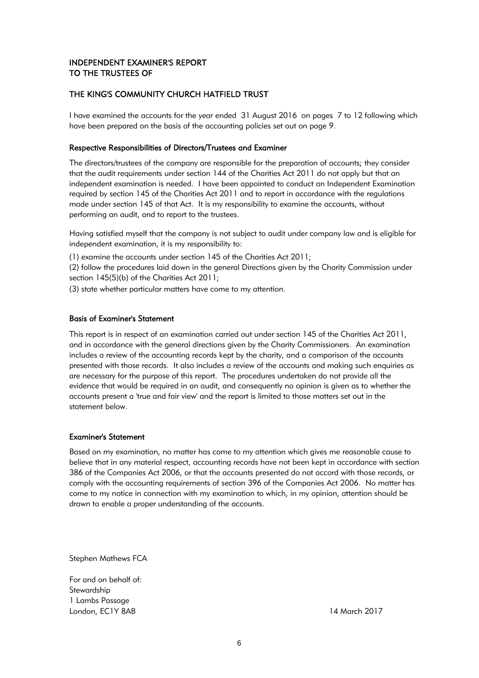# INDEPENDENT EXAMINER'S REPORT TO THE TRUSTEES OF

# THE KING'S COMMUNITY CHURCH HATFIELD TRUST

I have examined the accounts for the year ended 31 August 2016 on pages 7 to 12 following which have been prepared on the basis of the accounting policies set out on page 9.

# Respective Responsibilities of Directors/Trustees and Examiner

The directors/trustees of the company are responsible for the preparation of accounts; they consider that the audit requirements under section 144 of the Charities Act 2011 do not apply but that an independent examination is needed. I have been appointed to conduct an Independent Examination required by section 145 of the Charities Act 2011 and to report in accordance with the regulations made under section 145 of that Act. It is my responsibility to examine the accounts, without performing an audit, and to report to the trustees.

Having satisfied myself that the company is not subject to audit under company law and is eligible for independent examination, it is my responsibility to:

(1) examine the accounts under section 145 of the Charities Act 2011;

(2) follow the procedures laid down in the general Directions given by the Charity Commission under section 145(5)(b) of the Charities Act 2011;

(3) state whether particular matters have come to my attention.

# Basis of Examiner's Statement

This report is in respect of an examination carried out under section 145 of the Charities Act 2011, and in accordance with the general directions given by the Charity Commissioners. An examination includes a review of the accounting records kept by the charity, and a comparison of the accounts presented with those records. It also includes a review of the accounts and making such enquiries as are necessary for the purpose of this report. The procedures undertaken do not provide all the evidence that would be required in an audit, and consequently no opinion is given as to whether the accounts present a 'true and fair view' and the report is limited to those matters set out in the statement below.

# Examiner's Statement

Based on my examination, no matter has come to my attention which gives me reasonable cause to believe that in any material respect, accounting records have not been kept in accordance with section 386 of the Companies Act 2006, or that the accounts presented do not accord with those records, or comply with the accounting requirements of section 396 of the Companies Act 2006. No matter has come to my notice in connection with my examination to which, in my opinion, attention should be drawn to enable a proper understanding of the accounts.

Stephen Mathews FCA

For and on behalf of: **Stewardship** 1 Lambs Passage London, EC1Y 8AB 14 March 2017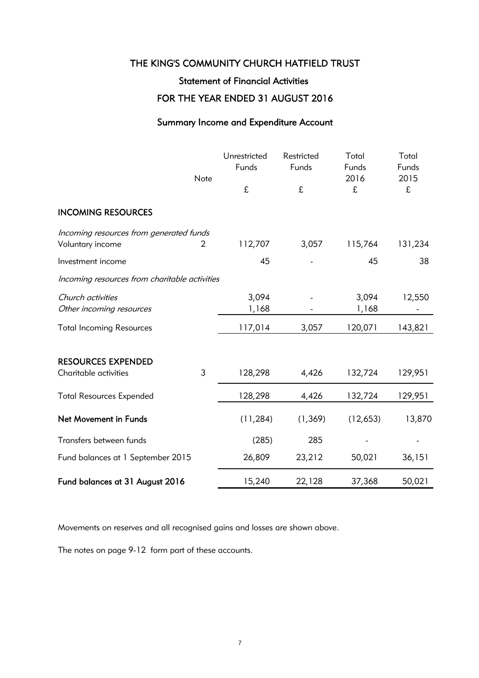# Statement of Financial Activities

# FOR THE YEAR ENDED 31 AUGUST 2016

# Summary Income and Expenditure Account

|                                                             | Note | Unrestricted<br>Funds | Restricted<br>Funds | Total<br>Funds<br>2016 | Total<br>Funds<br>2015 |
|-------------------------------------------------------------|------|-----------------------|---------------------|------------------------|------------------------|
|                                                             |      | £                     | £                   | £                      | £                      |
| <b>INCOMING RESOURCES</b>                                   |      |                       |                     |                        |                        |
| Incoming resources from generated funds<br>Voluntary income | 2    | 112,707               | 3,057               | 115,764                | 131,234                |
| Investment income                                           |      | 45                    |                     | 45                     | 38                     |
| Incoming resources from charitable activities               |      |                       |                     |                        |                        |
| Church activities<br>Other incoming resources               |      | 3,094<br>1,168        |                     | 3,094<br>1,168         | 12,550                 |
| <b>Total Incoming Resources</b>                             |      | 117,014               | 3,057               | 120,071                | 143,821                |
| <b>RESOURCES EXPENDED</b><br>Charitable activities          | 3    | 128,298               | 4,426               | 132,724                | 129,951                |
|                                                             |      |                       |                     |                        |                        |
| <b>Total Resources Expended</b>                             |      | 128,298               | 4,426               | 132,724                | 129,951                |
| Net Movement in Funds                                       |      | (11, 284)             | (1, 369)            | (12,653)               | 13,870                 |
| Transfers between funds                                     |      | (285)                 | 285                 |                        |                        |
| Fund balances at 1 September 2015                           |      | 26,809                | 23,212              | 50,021                 | 36,151                 |
| Fund balances at 31 August 2016                             |      | 15,240                | 22,128              | 37,368                 | 50,021                 |

Movements on reserves and all recognised gains and losses are shown above.

The notes on page 9-12 form part of these accounts.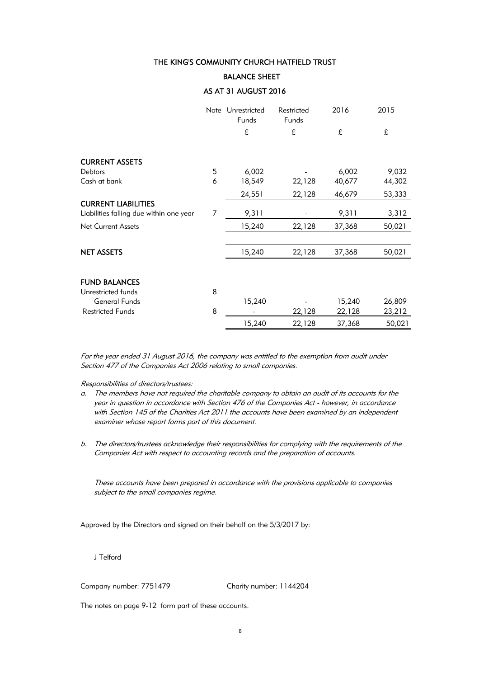# BALANCE SHEET

# AS AT 31 AUGUST 2016

|                                         |   | Note Unrestricted<br>Funds | Restricted<br>Funds | 2016   | 2015   |
|-----------------------------------------|---|----------------------------|---------------------|--------|--------|
|                                         |   | £                          | £                   | £      | £      |
| <b>CURRENT ASSETS</b>                   |   |                            |                     |        |        |
| Debtors                                 | 5 | 6,002                      |                     | 6,002  | 9,032  |
| Cash at bank                            | 6 | 18,549                     | 22,128              | 40,677 | 44,302 |
|                                         |   | 24,551                     | 22,128              | 46,679 | 53,333 |
| <b>CURRENT LIABILITIES</b>              |   |                            |                     |        |        |
| Liabilities falling due within one year | 7 | 9,311                      |                     | 9,311  | 3,312  |
| <b>Net Current Assets</b>               |   | 15,240                     | 22,128              | 37,368 | 50,021 |
|                                         |   |                            |                     |        |        |
| <b>NET ASSETS</b>                       |   | 15,240                     | 22,128              | 37,368 | 50,021 |
|                                         |   |                            |                     |        |        |
| <b>FUND BALANCES</b>                    |   |                            |                     |        |        |
| Unrestricted funds                      | 8 |                            |                     |        |        |
| <b>General Funds</b>                    |   | 15,240                     |                     | 15,240 | 26,809 |
| <b>Restricted Funds</b>                 | 8 |                            | 22,128              | 22,128 | 23,212 |
|                                         |   | 15,240                     | 22,128              | 37,368 | 50,021 |

For the year ended 31 August 2016, the company was entitled to the exemption from audit under Section 477 of the Companies Act 2006 relating to small companies.

### Responsibilities of directors/trustees:

- a. The members have not required the charitable company to obtain an audit of its accounts for the year in question in accordance with Section 476 of the Companies Act - however, in accordance with Section 145 of the Charities Act 2011 the accounts have been examined by an independent examiner whose report forms part of this document.
- b. The directors/trustees acknowledge their responsibilities for complying with the requirements of the Companies Act with respect to accounting records and the preparation of accounts.

These accounts have been prepared in accordance with the provisions applicable to companies subject to the small companies regime.

Approved by the Directors and signed on their behalf on the 5/3/2017 by:

J Telford

Company number: 7751479 Charity number: 1144204

The notes on page 9-12 form part of these accounts.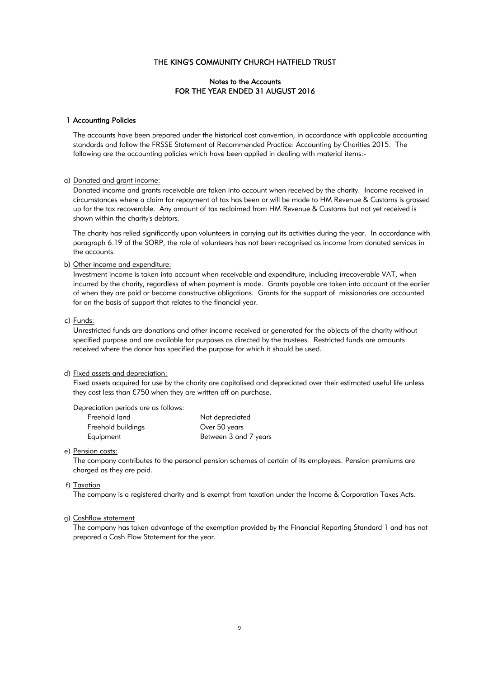# Notes to the Accounts FOR THE YEAR ENDED 31 AUGUST 2016

### 1 Accounting Policies

The accounts have been prepared under the historical cost convention, in accordance with applicable accounting standards and follow the FRSSE Statement of Recommended Practice: Accounting by Charities 2015. The following are the accounting policies which have been applied in dealing with material items:-

### a) Donated and grant income:

Donated income and grants receivable are taken into account when received by the charity. Income received in circumstances where a claim for repayment of tax has been or will be made to HM Revenue & Customs is grossed up for the tax recoverable. Any amount of tax reclaimed from HM Revenue & Customs but not yet received is shown within the charity's debtors.

The charity has relied significantly upon volunteers in carrying out its activities during the year. In accordance with paragraph 6.19 of the SORP, the role of volunteers has not been recognised as income from donated services in the accounts.

#### b) Other income and expenditure:

Investment income is taken into account when receivable and expenditure, including irrecoverable VAT, when incurred by the charity, regardless of when payment is made. Grants payable are taken into account at the earlier of when they are paid or become constructive obligations. Grants for the support of missionaries are accounted for on the basis of support that relates to the financial year.

#### c) Funds:

Unrestricted funds are donations and other income received or generated for the objects of the charity without specified purpose and are available for purposes as directed by the trustees. Restricted funds are amounts received where the donor has specified the purpose for which it should be used.

### d) Fixed assets and depreciation:

Fixed assets acquired for use by the charity are capitalised and depreciated over their estimated useful life unless they cost less than £750 when they are written off on purchase.

Depreciation periods are as follows:

| Freehold land      | Not depreciated       |
|--------------------|-----------------------|
| Freehold buildings | Over 50 years         |
| Equipment          | Between 3 and 7 years |

#### e) Pension costs:

The company contributes to the personal pension schemes of certain of its employees. Pension premiums are charged as they are paid.

### f) Taxation

The company is a registered charity and is exempt from taxation under the Income & Corporation Taxes Acts.

#### g) Cashflow statement

The company has taken advantage of the exemption provided by the Financial Reporting Standard 1 and has not prepared a Cash Flow Statement for the year.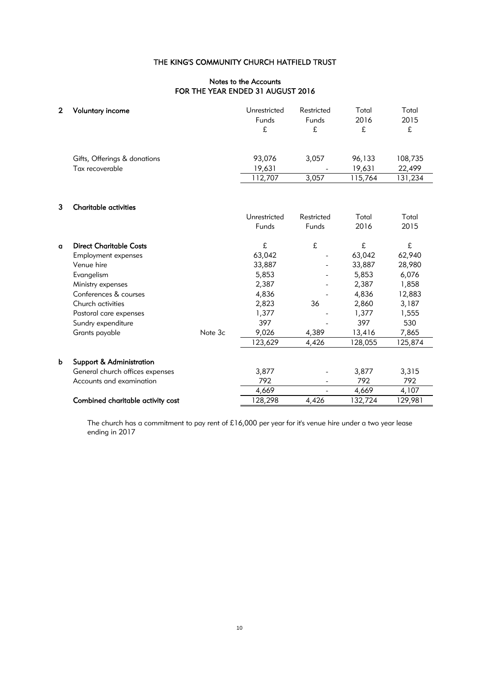# Notes to the Accounts FOR THE YEAR ENDED 31 AUGUST 2016

| $\mathbf{2}$ | <b>Voluntary income</b>                                                                                                                                                                                                       |         | Unrestricted<br>Funds<br>£                                                                    | Restricted<br>Funds<br>£  | Total<br>2016<br>£                                                                             | Total<br>2015<br>£                                                                             |
|--------------|-------------------------------------------------------------------------------------------------------------------------------------------------------------------------------------------------------------------------------|---------|-----------------------------------------------------------------------------------------------|---------------------------|------------------------------------------------------------------------------------------------|------------------------------------------------------------------------------------------------|
|              | Gifts, Offerings & donations<br>Tax recoverable                                                                                                                                                                               |         | 93,076<br>19,631<br>112,707                                                                   | 3,057<br>3,057            | 96,133<br>19,631<br>115,764                                                                    | 108,735<br>22,499<br>131,234                                                                   |
| 3            | <b>Charitable activities</b>                                                                                                                                                                                                  |         |                                                                                               |                           | Total                                                                                          | Total                                                                                          |
|              |                                                                                                                                                                                                                               |         | Unrestricted<br>Funds                                                                         | Restricted<br>Funds       | 2016                                                                                           | 2015                                                                                           |
| $\mathbf{q}$ | <b>Direct Charitable Costs</b><br><b>Employment expenses</b><br>Venue hire<br>Evangelism<br>Ministry expenses<br>Conferences & courses<br>Church activities<br>Pastoral care expenses<br>Sundry expenditure<br>Grants payable | Note 3c | £<br>63,042<br>33,887<br>5,853<br>2,387<br>4,836<br>2,823<br>1,377<br>397<br>9,026<br>123,629 | £<br>36<br>4,389<br>4,426 | £<br>63,042<br>33,887<br>5,853<br>2,387<br>4,836<br>2,860<br>1,377<br>397<br>13,416<br>128,055 | £<br>62,940<br>28,980<br>6,076<br>1,858<br>12,883<br>3,187<br>1,555<br>530<br>7,865<br>125,874 |
| b            | <b>Support &amp; Administration</b><br>General church offices expenses<br>Accounts and examination                                                                                                                            |         | 3,877<br>792<br>4,669                                                                         |                           | 3,877<br>792<br>4,669                                                                          | 3,315<br>792<br>4,107                                                                          |
|              | Combined charitable activity cost                                                                                                                                                                                             |         | 128,298                                                                                       | 4,426                     | 132,724                                                                                        | 129,981                                                                                        |

The church has a commitment to pay rent of £16,000 per year for it's venue hire under a two year lease ending in 2017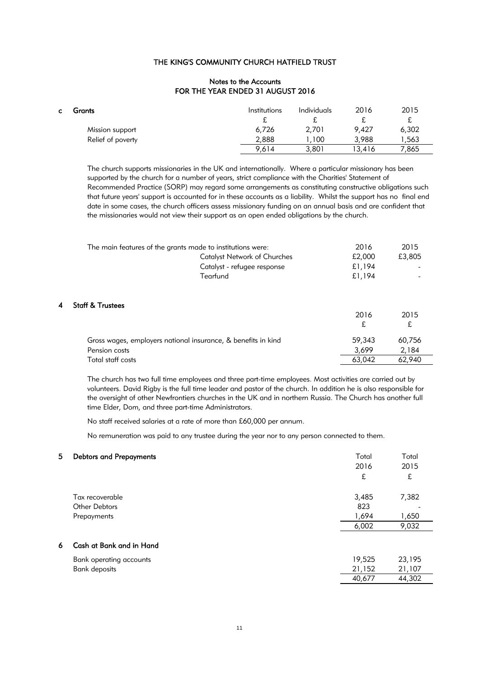### Notes to the Accounts FOR THE YEAR ENDED 31 AUGUST 2016

| C. | Grants            | <i>Institutions</i><br>∼ | Individuals | 2016<br>ົ | 2015<br>£ |
|----|-------------------|--------------------------|-------------|-----------|-----------|
|    | Mission support   | 6,726                    | 2,701       | 9,427     | 6,302     |
|    | Relief of poverty | 2,888                    | ,100        | 3,988     | .563      |
|    |                   | 9,614                    | 3,801       | 13,416    | 7,865     |

The church supports missionaries in the UK and internationally. Where a particular missionary has been supported by the church for a number of years, strict compliance with the Charities' Statement of Recommended Practice (SORP) may regard some arrangements as constituting constructive obligations such that future years' support is accounted for in these accounts as a liability. Whilst the support has no final end date in some cases, the church officers assess missionary funding on an annual basis and are confident that the missionaries would not view their support as an open ended obligations by the church.

|   | The main features of the grants made to institutions were:    | 2016      | 2015      |
|---|---------------------------------------------------------------|-----------|-----------|
|   | <b>Catalyst Network of Churches</b>                           | £2,000    | £3,805    |
|   | Catalyst - refugee response                                   | £1,194    |           |
|   | Tearfund                                                      | £1,194    |           |
| 4 | <b>Staff &amp; Trustees</b>                                   | 2016<br>£ | 2015<br>£ |
|   | Gross wages, employers national insurance, & benefits in kind | 59,343    | 60,756    |
|   | Pension costs                                                 | 3,699     | 2,184     |
|   | Total staff costs                                             | 63,042    | 62,940    |

The church has two full time employees and three part-time employees. Most activities are carried out by volunteers. David Rigby is the full time leader and pastor of the church. In addition he is also responsible for the oversight of other Newfrontiers churches in the UK and in northern Russia. The Church has another full time Elder, Dom, and three part-time Administrators.

No staff received salaries at a rate of more than £60,000 per annum.

No remuneration was paid to any trustee during the year nor to any person connected to them.

| 5  | <b>Debtors and Prepayments</b> | Total  | Total  |
|----|--------------------------------|--------|--------|
|    |                                | 2016   | 2015   |
|    |                                | £      | £      |
|    | Tax recoverable                | 3,485  | 7,382  |
|    | <b>Other Debtors</b>           | 823    |        |
|    | Prepayments                    | 1,694  | 1,650  |
|    |                                | 6,002  | 9,032  |
| 6. | Cash at Bank and in Hand       |        |        |
|    | Bank operating accounts        | 19,525 | 23,195 |
|    | <b>Bank deposits</b>           | 21,152 | 21,107 |
|    |                                | 40,677 | 44,302 |